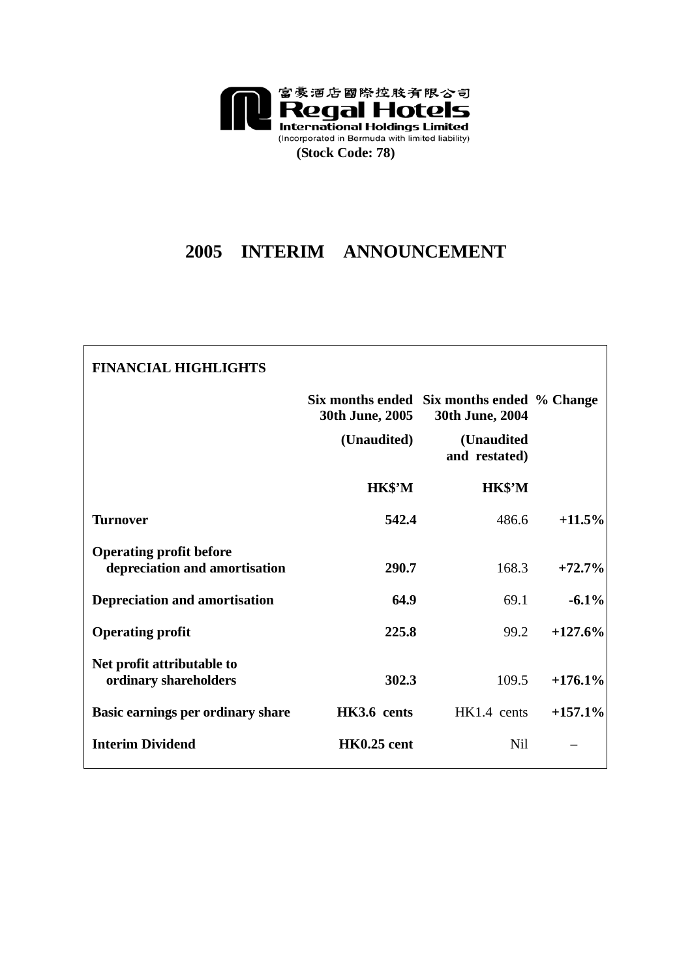

# **2005 INTERIM ANNOUNCEMENT**

| <b>FINANCIAL HIGHLIGHTS</b>                                     |                 |                                                               |           |
|-----------------------------------------------------------------|-----------------|---------------------------------------------------------------|-----------|
|                                                                 | 30th June, 2005 | Six months ended Six months ended % Change<br>30th June, 2004 |           |
|                                                                 | (Unaudited)     | (Unaudited<br>and restated)                                   |           |
|                                                                 | HK\$'M          | HK\$'M                                                        |           |
| <b>Turnover</b>                                                 | 542.4           | 486.6                                                         | $+11.5%$  |
| <b>Operating profit before</b><br>depreciation and amortisation | 290.7           | 168.3                                                         | $+72.7\%$ |
| <b>Depreciation and amortisation</b>                            | 64.9            | 69.1                                                          | $-6.1\%$  |
| <b>Operating profit</b>                                         | 225.8           | 99.2                                                          | $+127.6%$ |
| Net profit attributable to<br>ordinary shareholders             | 302.3           | 109.5                                                         | $+176.1%$ |
| Basic earnings per ordinary share                               | HK3.6 cents     | $HK1.4$ cents                                                 | $+157.1%$ |
| <b>Interim Dividend</b>                                         | $HK0.25$ cent   | <b>Nil</b>                                                    |           |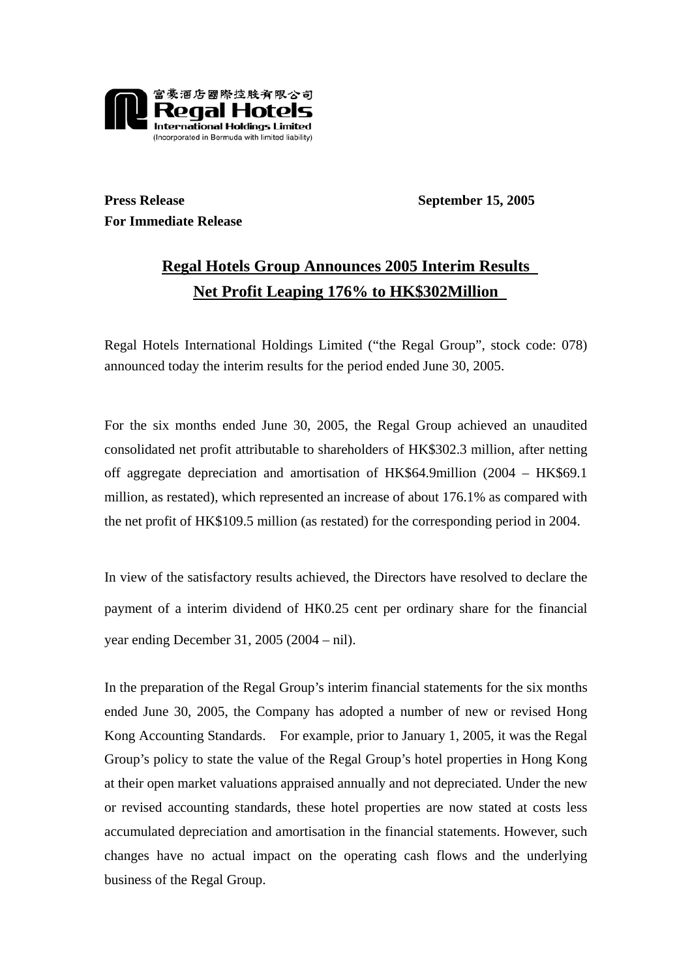

**Press Release** September 15, 2005 **For Immediate Release** 

# **Regal Hotels Group Announces 2005 Interim Results Net Profit Leaping 176% to HK\$302Million**

Regal Hotels International Holdings Limited ("the Regal Group", stock code: 078) announced today the interim results for the period ended June 30, 2005.

For the six months ended June 30, 2005, the Regal Group achieved an unaudited consolidated net profit attributable to shareholders of HK\$302.3 million, after netting off aggregate depreciation and amortisation of HK\$64.9million (2004 – HK\$69.1 million, as restated), which represented an increase of about 176.1% as compared with the net profit of HK\$109.5 million (as restated) for the corresponding period in 2004.

In view of the satisfactory results achieved, the Directors have resolved to declare the payment of a interim dividend of HK0.25 cent per ordinary share for the financial year ending December 31, 2005 (2004 – nil).

In the preparation of the Regal Group's interim financial statements for the six months ended June 30, 2005, the Company has adopted a number of new or revised Hong Kong Accounting Standards. For example, prior to January 1, 2005, it was the Regal Group's policy to state the value of the Regal Group's hotel properties in Hong Kong at their open market valuations appraised annually and not depreciated. Under the new or revised accounting standards, these hotel properties are now stated at costs less accumulated depreciation and amortisation in the financial statements. However, such changes have no actual impact on the operating cash flows and the underlying business of the Regal Group.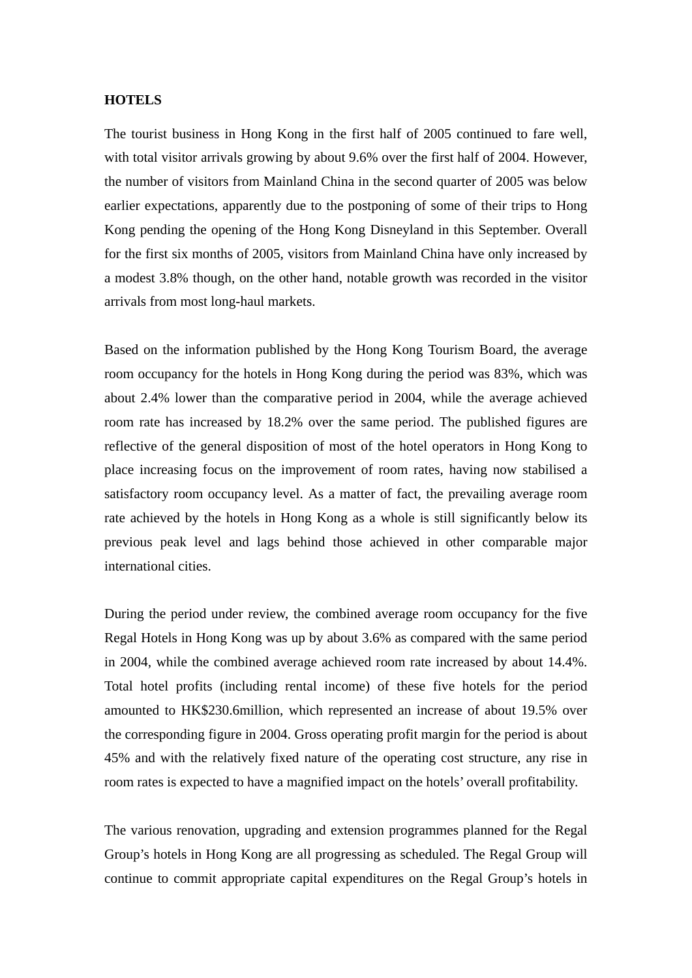### **HOTELS**

The tourist business in Hong Kong in the first half of 2005 continued to fare well, with total visitor arrivals growing by about 9.6% over the first half of 2004. However, the number of visitors from Mainland China in the second quarter of 2005 was below earlier expectations, apparently due to the postponing of some of their trips to Hong Kong pending the opening of the Hong Kong Disneyland in this September. Overall for the first six months of 2005, visitors from Mainland China have only increased by a modest 3.8% though, on the other hand, notable growth was recorded in the visitor arrivals from most long-haul markets.

Based on the information published by the Hong Kong Tourism Board, the average room occupancy for the hotels in Hong Kong during the period was 83%, which was about 2.4% lower than the comparative period in 2004, while the average achieved room rate has increased by 18.2% over the same period. The published figures are reflective of the general disposition of most of the hotel operators in Hong Kong to place increasing focus on the improvement of room rates, having now stabilised a satisfactory room occupancy level. As a matter of fact, the prevailing average room rate achieved by the hotels in Hong Kong as a whole is still significantly below its previous peak level and lags behind those achieved in other comparable major international cities.

During the period under review, the combined average room occupancy for the five Regal Hotels in Hong Kong was up by about 3.6% as compared with the same period in 2004, while the combined average achieved room rate increased by about 14.4%. Total hotel profits (including rental income) of these five hotels for the period amounted to HK\$230.6million, which represented an increase of about 19.5% over the corresponding figure in 2004. Gross operating profit margin for the period is about 45% and with the relatively fixed nature of the operating cost structure, any rise in room rates is expected to have a magnified impact on the hotels' overall profitability.

The various renovation, upgrading and extension programmes planned for the Regal Group's hotels in Hong Kong are all progressing as scheduled. The Regal Group will continue to commit appropriate capital expenditures on the Regal Group's hotels in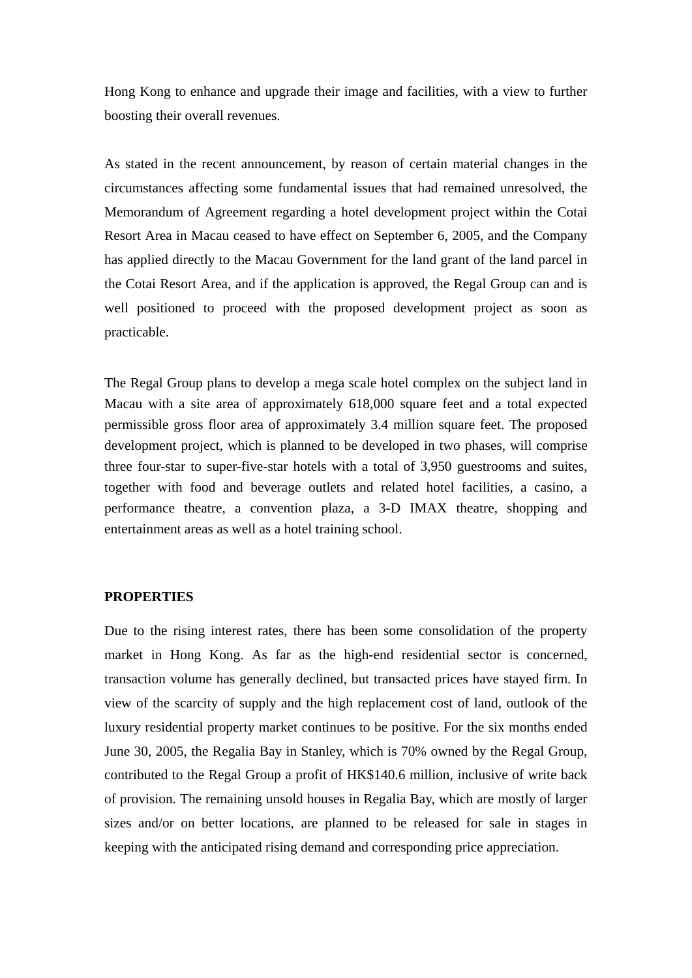Hong Kong to enhance and upgrade their image and facilities, with a view to further boosting their overall revenues.

As stated in the recent announcement, by reason of certain material changes in the circumstances affecting some fundamental issues that had remained unresolved, the Memorandum of Agreement regarding a hotel development project within the Cotai Resort Area in Macau ceased to have effect on September 6, 2005, and the Company has applied directly to the Macau Government for the land grant of the land parcel in the Cotai Resort Area, and if the application is approved, the Regal Group can and is well positioned to proceed with the proposed development project as soon as practicable.

The Regal Group plans to develop a mega scale hotel complex on the subject land in Macau with a site area of approximately 618,000 square feet and a total expected permissible gross floor area of approximately 3.4 million square feet. The proposed development project, which is planned to be developed in two phases, will comprise three four-star to super-five-star hotels with a total of 3,950 guestrooms and suites, together with food and beverage outlets and related hotel facilities, a casino, a performance theatre, a convention plaza, a 3-D IMAX theatre, shopping and entertainment areas as well as a hotel training school.

#### **PROPERTIES**

Due to the rising interest rates, there has been some consolidation of the property market in Hong Kong. As far as the high-end residential sector is concerned, transaction volume has generally declined, but transacted prices have stayed firm. In view of the scarcity of supply and the high replacement cost of land, outlook of the luxury residential property market continues to be positive. For the six months ended June 30, 2005, the Regalia Bay in Stanley, which is 70% owned by the Regal Group, contributed to the Regal Group a profit of HK\$140.6 million, inclusive of write back of provision. The remaining unsold houses in Regalia Bay, which are mostly of larger sizes and/or on better locations, are planned to be released for sale in stages in keeping with the anticipated rising demand and corresponding price appreciation.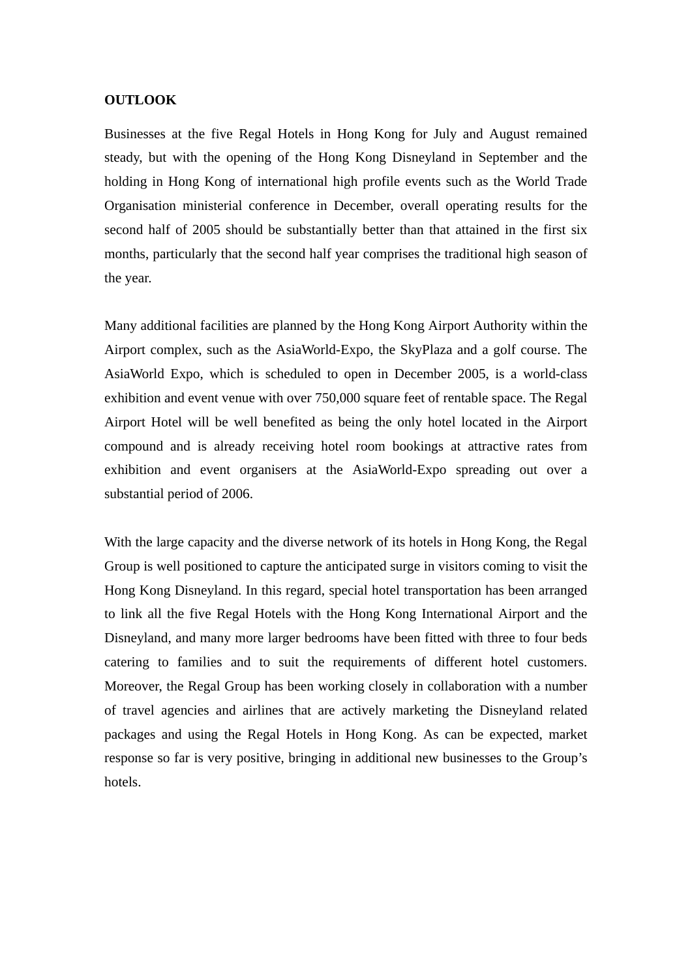### **OUTLOOK**

Businesses at the five Regal Hotels in Hong Kong for July and August remained steady, but with the opening of the Hong Kong Disneyland in September and the holding in Hong Kong of international high profile events such as the World Trade Organisation ministerial conference in December, overall operating results for the second half of 2005 should be substantially better than that attained in the first six months, particularly that the second half year comprises the traditional high season of the year.

Many additional facilities are planned by the Hong Kong Airport Authority within the Airport complex, such as the AsiaWorld-Expo, the SkyPlaza and a golf course. The AsiaWorld Expo, which is scheduled to open in December 2005, is a world-class exhibition and event venue with over 750,000 square feet of rentable space. The Regal Airport Hotel will be well benefited as being the only hotel located in the Airport compound and is already receiving hotel room bookings at attractive rates from exhibition and event organisers at the AsiaWorld-Expo spreading out over a substantial period of 2006.

With the large capacity and the diverse network of its hotels in Hong Kong, the Regal Group is well positioned to capture the anticipated surge in visitors coming to visit the Hong Kong Disneyland. In this regard, special hotel transportation has been arranged to link all the five Regal Hotels with the Hong Kong International Airport and the Disneyland, and many more larger bedrooms have been fitted with three to four beds catering to families and to suit the requirements of different hotel customers. Moreover, the Regal Group has been working closely in collaboration with a number of travel agencies and airlines that are actively marketing the Disneyland related packages and using the Regal Hotels in Hong Kong. As can be expected, market response so far is very positive, bringing in additional new businesses to the Group's hotels.